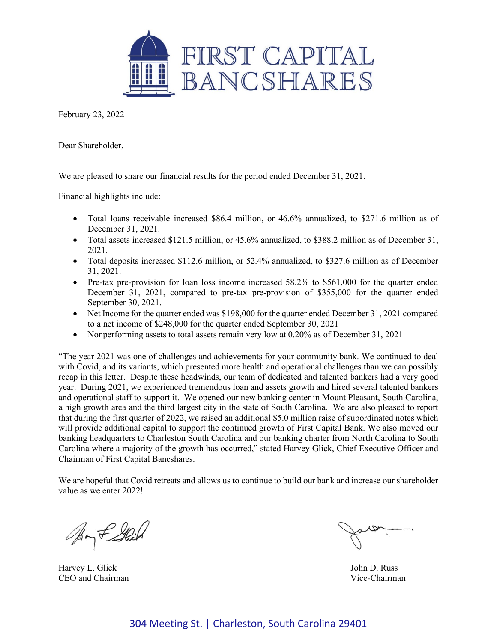

February 23, 2022

Dear Shareholder,

We are pleased to share our financial results for the period ended December 31, 2021.

Financial highlights include:

- Total loans receivable increased \$86.4 million, or 46.6% annualized, to \$271.6 million as of December 31, 2021.
- Total assets increased \$121.5 million, or 45.6% annualized, to \$388.2 million as of December 31, 2021.
- Total deposits increased \$112.6 million, or 52.4% annualized, to \$327.6 million as of December 31, 2021.
- Pre-tax pre-provision for loan loss income increased 58.2% to \$561,000 for the quarter ended December 31, 2021, compared to pre-tax pre-provision of \$355,000 for the quarter ended September 30, 2021.
- Net Income for the quarter ended was \$198,000 for the quarter ended December 31, 2021 compared to a net income of \$248,000 for the quarter ended September 30, 2021
- Nonperforming assets to total assets remain very low at 0.20% as of December 31, 2021

"The year 2021 was one of challenges and achievements for your community bank. We continued to deal with Covid, and its variants, which presented more health and operational challenges than we can possibly recap in this letter. Despite these headwinds, our team of dedicated and talented bankers had a very good year. During 2021, we experienced tremendous loan and assets growth and hired several talented bankers and operational staff to support it. We opened our new banking center in Mount Pleasant, South Carolina, a high growth area and the third largest city in the state of South Carolina. We are also pleased to report that during the first quarter of 2022, we raised an additional \$5.0 million raise of subordinated notes which will provide additional capital to support the continued growth of First Capital Bank. We also moved our banking headquarters to Charleston South Carolina and our banking charter from North Carolina to South Carolina where a majority of the growth has occurred," stated Harvey Glick, Chief Executive Officer and Chairman of First Capital Bancshares.

We are hopeful that Covid retreats and allows us to continue to build our bank and increase our shareholder value as we enter 2022!

Ary F Shit

Harvey L. Glick John D. Russ CEO and Chairman Vice-Chairman

## 304 Meeting St. | Charleston, South Carolina 29401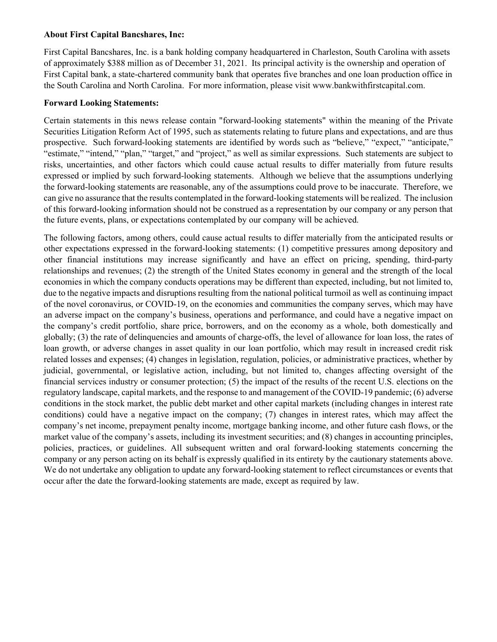### **About First Capital Bancshares, Inc:**

First Capital Bancshares, Inc. is a bank holding company headquartered in Charleston, South Carolina with assets of approximately \$388 million as of December 31, 2021. Its principal activity is the ownership and operation of First Capital bank, a state-chartered community bank that operates five branches and one loan production office in the South Carolina and North Carolina. For more information, please visit www.bankwithfirstcapital.com.

### **Forward Looking Statements:**

Certain statements in this news release contain "forward-looking statements" within the meaning of the Private Securities Litigation Reform Act of 1995, such as statements relating to future plans and expectations, and are thus prospective. Such forward-looking statements are identified by words such as "believe," "expect," "anticipate," "estimate," "intend," "plan," "target," and "project," as well as similar expressions. Such statements are subject to risks, uncertainties, and other factors which could cause actual results to differ materially from future results expressed or implied by such forward-looking statements. Although we believe that the assumptions underlying the forward-looking statements are reasonable, any of the assumptions could prove to be inaccurate. Therefore, we can give no assurance that the results contemplated in the forward-looking statements will be realized. The inclusion of this forward-looking information should not be construed as a representation by our company or any person that the future events, plans, or expectations contemplated by our company will be achieved.

The following factors, among others, could cause actual results to differ materially from the anticipated results or other expectations expressed in the forward-looking statements: (1) competitive pressures among depository and other financial institutions may increase significantly and have an effect on pricing, spending, third-party relationships and revenues; (2) the strength of the United States economy in general and the strength of the local economies in which the company conducts operations may be different than expected, including, but not limited to, due to the negative impacts and disruptions resulting from the national political turmoil as well as continuing impact of the novel coronavirus, or COVID-19, on the economies and communities the company serves, which may have an adverse impact on the company's business, operations and performance, and could have a negative impact on the company's credit portfolio, share price, borrowers, and on the economy as a whole, both domestically and globally; (3) the rate of delinquencies and amounts of charge-offs, the level of allowance for loan loss, the rates of loan growth, or adverse changes in asset quality in our loan portfolio, which may result in increased credit risk related losses and expenses; (4) changes in legislation, regulation, policies, or administrative practices, whether by judicial, governmental, or legislative action, including, but not limited to, changes affecting oversight of the financial services industry or consumer protection; (5) the impact of the results of the recent U.S. elections on the regulatory landscape, capital markets, and the response to and management of the COVID-19 pandemic; (6) adverse conditions in the stock market, the public debt market and other capital markets (including changes in interest rate conditions) could have a negative impact on the company; (7) changes in interest rates, which may affect the company's net income, prepayment penalty income, mortgage banking income, and other future cash flows, or the market value of the company's assets, including its investment securities; and (8) changes in accounting principles, policies, practices, or guidelines. All subsequent written and oral forward-looking statements concerning the company or any person acting on its behalf is expressly qualified in its entirety by the cautionary statements above. We do not undertake any obligation to update any forward-looking statement to reflect circumstances or events that occur after the date the forward-looking statements are made, except as required by law.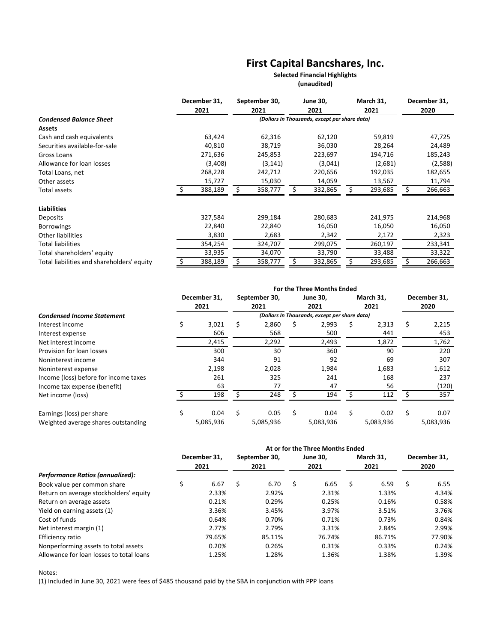# **First Capital Bancshares, Inc.**

### **(unaudited) Selected Financial Highlights**

|                                            |  | December 31, |                                               | September 30, |    | <b>June 30,</b> |    | March 31, |    | December 31, |  |
|--------------------------------------------|--|--------------|-----------------------------------------------|---------------|----|-----------------|----|-----------|----|--------------|--|
|                                            |  | 2021         |                                               | 2021          |    | 2021            |    | 2021      |    | 2020         |  |
| <b>Condensed Balance Sheet</b>             |  |              | (Dollars In Thousands, except per share data) |               |    |                 |    |           |    |              |  |
| <b>Assets</b>                              |  |              |                                               |               |    |                 |    |           |    |              |  |
| Cash and cash equivalents                  |  | 63,424       |                                               | 62,316        |    | 62,120          |    | 59,819    |    | 47,725       |  |
| Securities available-for-sale              |  | 40,810       |                                               | 38,719        |    | 36,030          |    | 28,264    |    | 24,489       |  |
| Gross Loans                                |  | 271,636      |                                               | 245,853       |    | 223,697         |    | 194,716   |    | 185,243      |  |
| Allowance for loan losses                  |  | (3,408)      |                                               | (3, 141)      |    | (3,041)         |    | (2,681)   |    | (2,588)      |  |
| Total Loans, net                           |  | 268,228      |                                               | 242,712       |    | 220,656         |    | 192,035   |    | 182,655      |  |
| Other assets                               |  | 15,727       |                                               | 15,030        |    | 14,059          |    | 13,567    |    | 11,794       |  |
| Total assets                               |  | 388,189      |                                               | 358,777       |    | 332,865         |    | 293,685   |    | 266,663      |  |
| <b>Liabilities</b>                         |  |              |                                               |               |    |                 |    |           |    |              |  |
| Deposits                                   |  | 327,584      |                                               | 299,184       |    | 280,683         |    | 241,975   |    | 214,968      |  |
| <b>Borrowings</b>                          |  | 22,840       |                                               | 22,840        |    | 16,050          |    | 16,050    |    | 16,050       |  |
| Other liabilities                          |  | 3,830        |                                               | 2,683         |    | 2,342           |    | 2,172     |    | 2,323        |  |
| <b>Total liabilities</b>                   |  | 354,254      |                                               | 324,707       |    | 299,075         |    | 260,197   |    | 233,341      |  |
| Total shareholders' equity                 |  | 33,935       |                                               | 34,070        |    | 33,790          |    | 33,488    |    | 33,322       |  |
| Total liabilities and shareholders' equity |  | 388,189      | Ś                                             | 358,777       | \$ | 332,865         | \$ | 293,685   | \$ | 266,663      |  |

|                                       |                                               |              | For the Three Months Ended |               |    |                 |    |           |    |              |  |  |  |  |
|---------------------------------------|-----------------------------------------------|--------------|----------------------------|---------------|----|-----------------|----|-----------|----|--------------|--|--|--|--|
|                                       |                                               | December 31, |                            | September 30, |    | <b>June 30,</b> |    | March 31, |    | December 31, |  |  |  |  |
|                                       |                                               | 2021         |                            | 2021          |    | 2021            |    | 2021      |    | 2020         |  |  |  |  |
| <b>Condensed Income Statement</b>     | (Dollars In Thousands, except per share data) |              |                            |               |    |                 |    |           |    |              |  |  |  |  |
| Interest income                       | \$                                            | 3,021        | \$                         | 2,860         | S  | 2,993           | S  | 2,313     | \$ | 2,215        |  |  |  |  |
| Interest expense                      |                                               | 606          |                            | 568           |    | 500             |    | 441       |    | 453          |  |  |  |  |
| Net interest income                   |                                               | 2,415        |                            | 2,292         |    | 2,493           |    | 1,872     |    | 1,762        |  |  |  |  |
| Provision for loan losses             |                                               | 300          |                            | 30            |    | 360             |    | 90        |    | 220          |  |  |  |  |
| Noninterest income                    |                                               | 344          |                            | 91            |    | 92              |    | 69        |    | 307          |  |  |  |  |
| Noninterest expense                   |                                               | 2,198        |                            | 2,028         |    | 1,984           |    | 1,683     |    | 1,612        |  |  |  |  |
| Income (loss) before for income taxes |                                               | 261          |                            | 325           |    | 241             |    | 168       |    | 237          |  |  |  |  |
| Income tax expense (benefit)          |                                               | 63           |                            | 77            |    | 47              |    | 56        |    | (120)        |  |  |  |  |
| Net income (loss)                     |                                               | 198          |                            | 248           |    | 194             |    | 112       |    | 357          |  |  |  |  |
| Earnings (loss) per share             | Ś                                             | 0.04         | \$                         | 0.05          | \$ | 0.04            | \$ | 0.02      | Ś  | 0.07         |  |  |  |  |
| Weighted average shares outstanding   |                                               | 5,085,936    |                            | 5,085,936     |    | 5,083,936       |    | 5,083,936 |    | 5,083,936    |  |  |  |  |

|                                          | At or for the Three Months Ended |        |               |        |                 |        |           |        |              |        |
|------------------------------------------|----------------------------------|--------|---------------|--------|-----------------|--------|-----------|--------|--------------|--------|
|                                          | December 31.                     |        | September 30, |        | <b>June 30,</b> |        | March 31. |        | December 31. |        |
|                                          |                                  | 2021   |               | 2021   |                 | 2021   |           | 2021   |              | 2020   |
| Performance Ratios (annualized):         |                                  |        |               |        |                 |        |           |        |              |        |
| Book value per common share              | \$                               | 6.67   | \$            | 6.70   | \$              | 6.65   | \$        | 6.59   | \$           | 6.55   |
| Return on average stockholders' equity   |                                  | 2.33%  |               | 2.92%  |                 | 2.31%  |           | 1.33%  |              | 4.34%  |
| Return on average assets                 |                                  | 0.21%  |               | 0.29%  |                 | 0.25%  |           | 0.16%  |              | 0.58%  |
| Yield on earning assets (1)              |                                  | 3.36%  |               | 3.45%  |                 | 3.97%  |           | 3.51%  |              | 3.76%  |
| Cost of funds                            |                                  | 0.64%  |               | 0.70%  |                 | 0.71%  |           | 0.73%  |              | 0.84%  |
| Net interest margin (1)                  |                                  | 2.77%  |               | 2.79%  |                 | 3.31%  |           | 2.84%  |              | 2.99%  |
| Efficiency ratio                         |                                  | 79.65% |               | 85.11% |                 | 76.74% |           | 86.71% |              | 77.90% |
| Nonperforming assets to total assets     |                                  | 0.20%  |               | 0.26%  |                 | 0.31%  |           | 0.33%  |              | 0.24%  |
| Allowance for loan losses to total loans |                                  | 1.25%  |               | 1.28%  |                 | 1.36%  |           | 1.38%  |              | 1.39%  |

Notes:

(1) Included in June 30, 2021 were fees of \$485 thousand paid by the SBA in conjunction with PPP loans